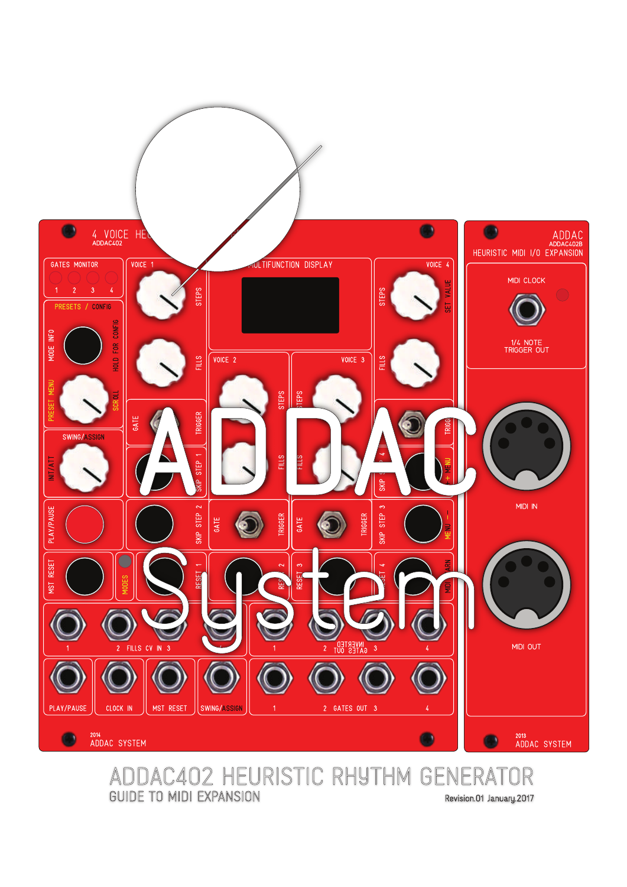

#### **GUIDE TO MIDI EXPANSION**

Revision.01 January.2017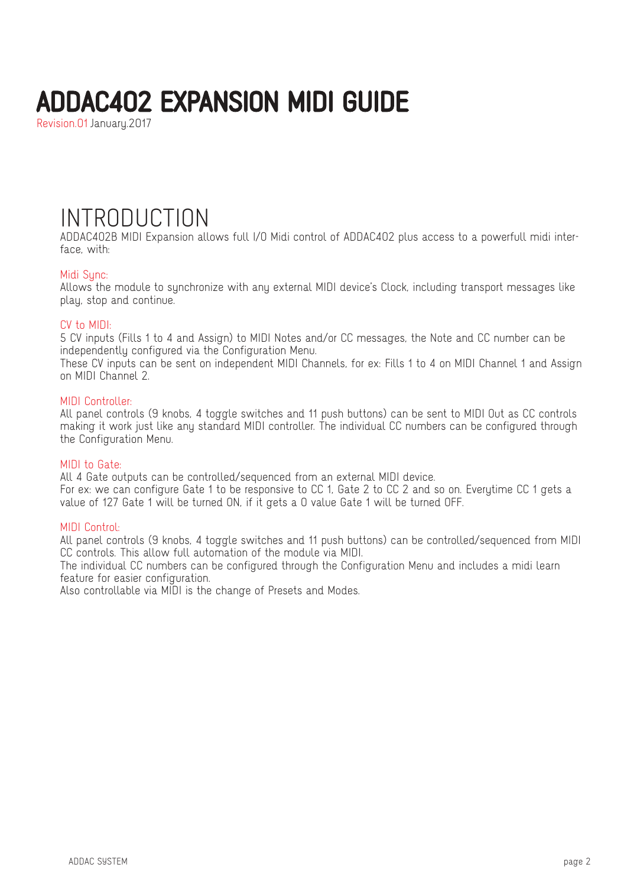Revision.01 January.2017

### INTRODUCTION

ADDAC402B MIDI Expansion allows full I/O Midi control of ADDAC402 plus access to a powerfull midi interface, with:

#### Midi Sunc:

Allows the module to synchronize with any external MIDI device's Clock, including transport messages like play, stop and continue.

#### CV to MIDI:

5 CV inputs (Fills 1 to 4 and Assign) to MIDI Notes and/or CC messages, the Note and CC number can be independently configured via the Configuration Menu.

These CV inputs can be sent on independent MIDI Channels, for ex: Fills 1 to 4 on MIDI Channel 1 and Assign on MIDI Channel 2.

#### MIDI Controller:

All panel controls (9 knobs, 4 toggle switches and 11 push buttons) can be sent to MIDI Out as CC controls making it work just like any standard MIDI controller. The individual CC numbers can be configured through the Configuration Menu.

#### MIDI to Gate:

All 4 Gate outputs can be controlled/sequenced from an external MIDI device.

For ex: we can configure Gate 1 to be responsive to CC 1, Gate 2 to CC 2 and so on. Everytime CC 1 gets a value of 127 Gate 1 will be turned ON, if it gets a 0 value Gate 1 will be turned OFF.

#### MIDI Control:

All panel controls (9 knobs, 4 toggle switches and 11 push buttons) can be controlled/sequenced from MIDI CC controls. This allow full automation of the module via MIDI.

The individual CC numbers can be configured through the Configuration Menu and includes a midi learn feature for easier configuration.

Also controllable via MIDI is the change of Presets and Modes.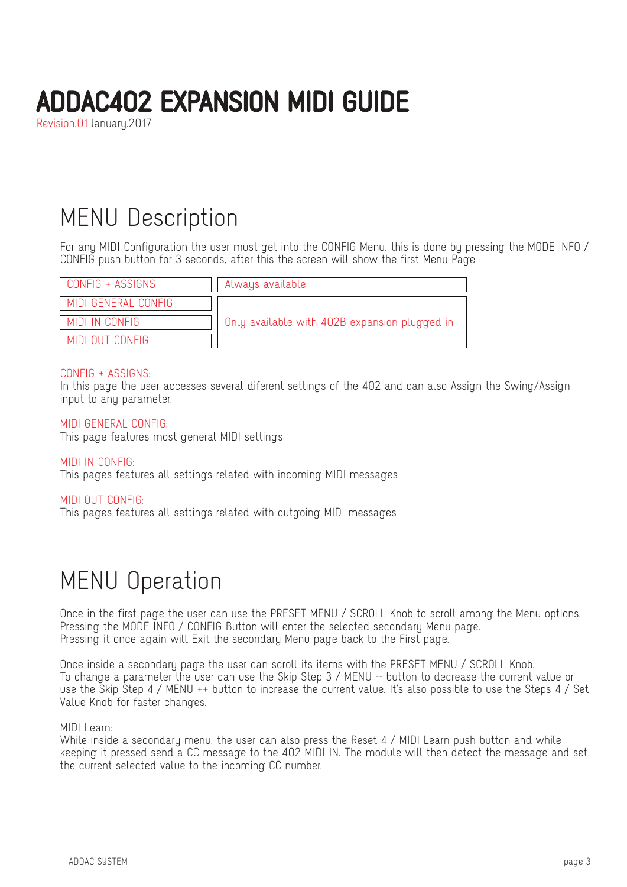Revision.01 January.2017

### MENU Description

For any MIDI Configuration the user must get into the CONFIG Menu, this is done by pressing the MODE INFO / CONFIG push button for 3 seconds, after this the screen will show the first Menu Page:

| CONFIG + ASSIGNS    | Always available                              |
|---------------------|-----------------------------------------------|
| MIDI GENERAL CONFIG |                                               |
| MIDI IN CONFIG      | Only available with 402B expansion plugged in |
| MINI NIJT CONFIG    |                                               |

#### CONFIG + ASSIGNS:

In this page the user accesses several diferent settings of the 402 and can also Assign the Swing/Assign input to any parameter.

#### MIDI GENERAL CONFIG:

This page features most general MIDI settings

#### MIDI IN CONFIG:

This pages features all settings related with incoming MIDI messages

#### MIDI OUT CONFIG:

This pages features all settings related with outgoing MIDI messages

### MENU Operation

Once in the first page the user can use the PRESET MENU / SCROLL Knob to scroll among the Menu options. Pressing the MODE INFO / CONFIG Button will enter the selected secondary Menu page. Pressing it once again will Exit the secondary Menu page back to the First page.

Once inside a secondary page the user can scroll its items with the PRESET MENU / SCROLL Knob. To change a parameter the user can use the Skip Step 3 / MENU -- button to decrease the current value or use the Skip Step 4 / MENU ++ button to increase the current value. It's also possible to use the Steps 4 / Set Value Knob for faster changes.

#### MIDI Learn:

While inside a secondary menu, the user can also press the Reset 4 / MIDI Learn push button and while keeping it pressed send a CC message to the 402 MIDI IN. The module will then detect the message and set the current selected value to the incoming CC number.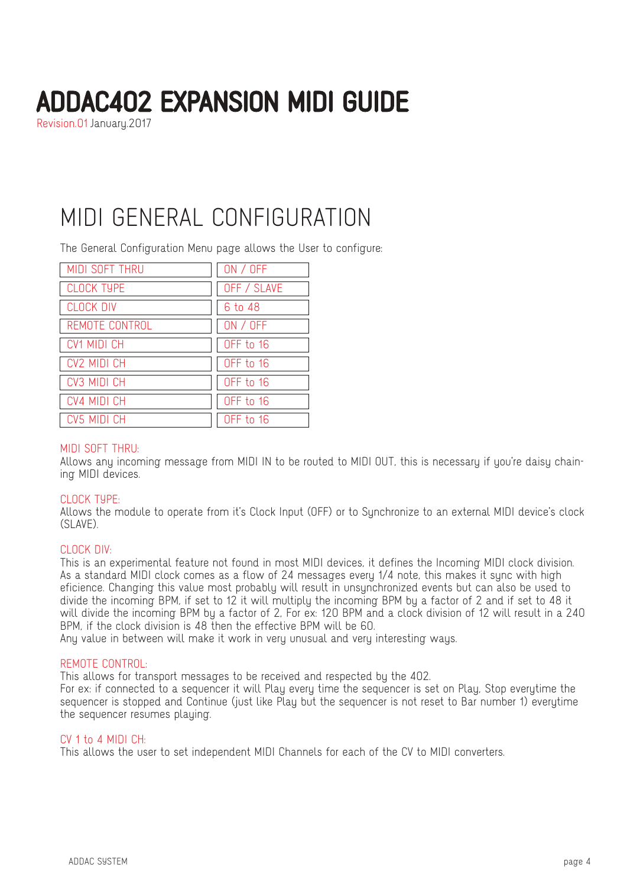Revision.01 January.2017

### MIDI GENERAL CONFIGURATION

The General Configuration Menu page allows the User to configure:

| MIDI SOFT THRU     | ON / OFF    |
|--------------------|-------------|
| <b>CLOCK TYPE</b>  | OFF / SLAVE |
| <b>CLOCK DIV</b>   | 6 to 48     |
| REMOTE CONTROL     | ON / OFF    |
| <b>CV1 MIDI CH</b> | OFF to 16   |
| CV2 MIDI CH        | OFF to 16   |
| CV3 MIDI CH        | OFF to 16   |
| <b>CV4 MIDI CH</b> | OFF to 16   |
| CV5 MIDI CH        | OFF to 16   |

#### MIDI SOFT THRU:

Allows any incoming message from MIDI IN to be routed to MIDI OUT, this is necessary if you're daisy chaining MIDI devices.

#### CLOCK TYPE:

Allows the module to operate from it's Clock Input (OFF) or to Synchronize to an external MIDI device's clock  $(SIAVF)$ 

#### CLOCK DIV:

This is an experimental feature not found in most MIDI devices, it defines the Incoming MIDI clock division. As a standard MIDI clock comes as a flow of 24 messages every 1/4 note, this makes it sync with high eficience. Changing this value most probably will result in unsynchronized events but can also be used to divide the incoming BPM, if set to 12 it will multiply the incoming BPM by a factor of 2 and if set to 48 it will divide the incoming BPM by a factor of 2, For ex: 120 BPM and a clock division of 12 will result in a 240 BPM, if the clock division is 48 then the effective BPM will be 60.

Any value in between will make it work in very unusual and very interesting ways.

#### REMOTE CONTROL:

This allows for transport messages to be received and respected by the 402.

For ex: if connected to a sequencer it will Play every time the sequencer is set on Play, Stop everytime the sequencer is stopped and Continue (just like Play but the sequencer is not reset to Bar number 1) everytime the sequencer resumes playing.

#### CV 1 to 4 MIDI CH:

This allows the user to set independent MIDI Channels for each of the CV to MIDI converters.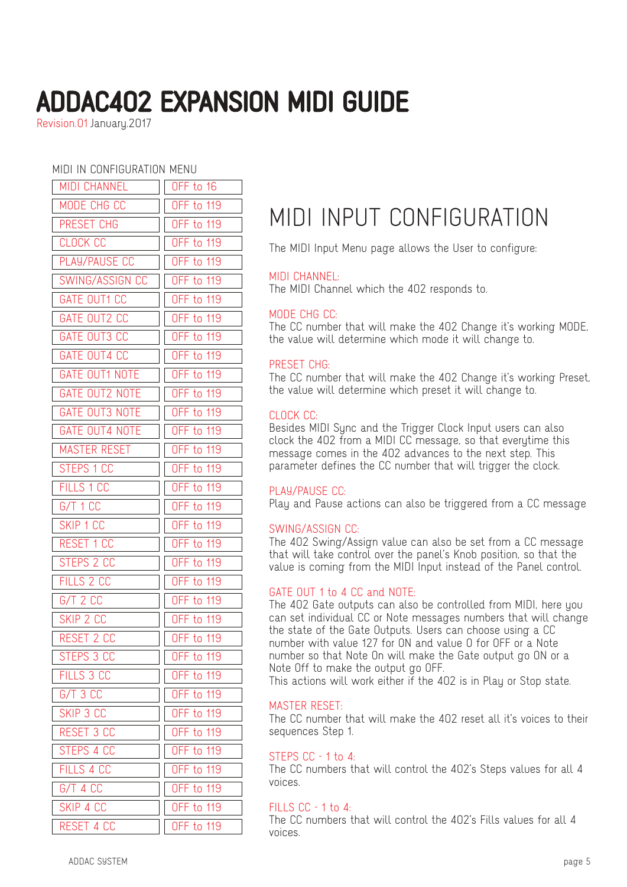Revision.01 January.2017

#### MIDI IN CONFIGURATION MENU

| <b>MIDI CHANNEL</b>   | OFF to 16         |
|-----------------------|-------------------|
| MODE CHG CC           | <b>OFF to 119</b> |
| PRESET CHG            | <b>OFF to 119</b> |
| <b>CLOCK CC</b>       | <b>OFF to 119</b> |
| PLAY/PAUSE CC         | <b>OFF to 119</b> |
| SWING/ASSIGN CC       | <b>OFF to 119</b> |
| GATE OUT1 CC          | OFF to 119        |
| GATE OUT2 CC          | <b>OFF to 119</b> |
| GATE OUT3 CC          | <b>OFF to 119</b> |
| GATE OUT4 CC          | OFF to 119        |
| <b>GATE OUT1 NOTE</b> | OFF to 119        |
| <b>GATE OUT2 NOTE</b> | <b>OFF to 119</b> |
| <b>GATE OUT3 NOTE</b> | <b>OFF to 119</b> |
| <b>GATE OUT4 NOTE</b> | <b>OFF to 119</b> |
| <b>MASTER RESET</b>   | <b>OFF to 119</b> |
| STEPS 1 CC            | <b>OFF to 119</b> |
| FILLS 1 CC            | OFF to 119        |
| G/T 1 CC              | <b>OFF to 119</b> |
| SKIP 1 CC             | OFF to 119        |
| RESET 1 CC            | <b>OFF to 119</b> |
| STEPS 2 CC            | OFF to 119        |
| FILLS 2 CC            | <b>OFF to 119</b> |
| $G/T$ 2 $CC$          | <b>OFF to 119</b> |
| SKIP 2 CC             | <b>OFF to 119</b> |
| RESET 2 CC            | <b>OFF to 119</b> |
| STEPS 3 CC            | OFF to 119        |
| FILLS 3 CC            | <b>OFF to 119</b> |
| G/T 3 CC              | <b>OFF to 119</b> |
| SKIP 3 CC             | <b>OFF to 119</b> |
| <b>RESET 3 CC</b>     | <b>OFF to 119</b> |
| STEPS 4 CC            | <b>OFF to 119</b> |
| FILLS 4 CC            | <b>OFF to 119</b> |
| G/T 4 CC              | <b>OFF to 119</b> |
| SKIP 4 CC             | <b>OFF to 119</b> |
| RESET 4 CC            | <b>OFF to 119</b> |

### MIDI INPUT CONFIGURATION

The MIDI Input Menu page allows the User to configure:

#### MIDI CHANNEL:

The MIDI Channel which the 402 responds to.

#### MODE CHG CC:

The CC number that will make the 402 Change it's working MODE, the value will determine which mode it will change to.

#### PRESET CHG:

The CC number that will make the 402 Change it's working Preset, the value will determine which preset it will change to.

#### CLOCK CC:

Besides MIDI Sync and the Trigger Clock Input users can also clock the 402 from a MIDI CC message, so that everytime this message comes in the 402 advances to the next step. This parameter defines the CC number that will trigger the clock.

#### PLAY/PAUSE CC:

Play and Pause actions can also be triggered from a CC message

#### SWING/ASSIGN CC:

The 402 Swing/Assign value can also be set from a CC message that will take control over the panel's Knob position, so that the value is coming from the MIDI Input instead of the Panel control.

#### GATE OUT 1 to 4 CC and NOTE:

The 402 Gate outputs can also be controlled from MIDI, here you can set individual CC or Note messages numbers that will change the state of the Gate Outputs. Users can choose using a CC number with value 127 for ON and value 0 for OFF or a Note number so that Note On will make the Gate output go ON or a Note Off to make the output go OFF.

This actions will work either if the 402 is in Play or Stop state.

#### MASTER RESET:

The CC number that will make the 402 reset all it's voices to their sequences Step 1.

#### STEPS CC - 1 to 4

The CC numbers that will control the 402's Steps values for all 4 voices.

#### FILLS CC - 1 to 4:

The CC numbers that will control the 402's Fills values for all 4 voices.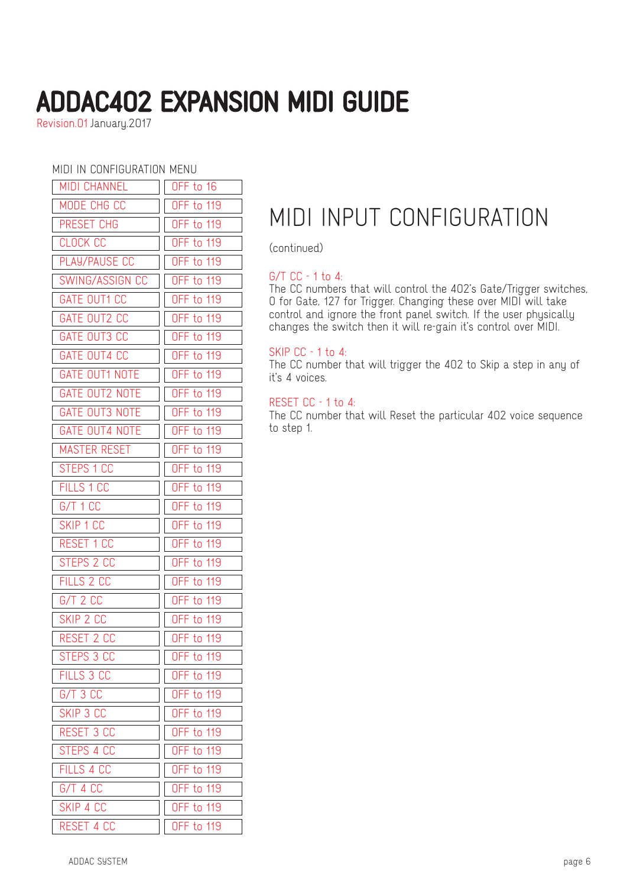Revision.01 January.2017

#### MIDI IN CONFIGURATION MENU

| MIDI CHANNEL          | OFF to 16         |
|-----------------------|-------------------|
| MODE CHG CC           | <b>OFF to 119</b> |
| PRESET CHG            | <b>OFF to 119</b> |
| <b>CLOCK CC</b>       | <b>OFF to 119</b> |
| PLAY/PAUSE CC         | OFF to 119        |
| SWING/ASSIGN CC       | <b>OFF to 119</b> |
| GATE OUT1 CC          | <b>OFF to 119</b> |
| GATE OUT2 CC          | <b>OFF to 119</b> |
| GATE OUT3 CC          | <b>OFF to 119</b> |
| GATE OUT4 CC          | <b>OFF to 119</b> |
| <b>GATE OUT1 NOTE</b> | <b>OFF to 119</b> |
| <b>GATE OUT2 NOTE</b> | <b>OFF to 119</b> |
| <b>GATE OUT3 NOTE</b> | <b>OFF to 119</b> |
| <b>GATE OUT4 NOTE</b> | <b>OFF to 119</b> |
| <b>MASTER RESET</b>   | <b>OFF to 119</b> |
| STEPS 1 CC            | OFF to 119        |
| FILLS 1 CC            | OFF to 119        |
| G/T 1 CC              | <b>OFF to 119</b> |
| SKIP 1 CC             | <b>OFF to 119</b> |
| RESET 1 CC            | OFF to 119        |
| STEPS 2 CC            | <b>OFF to 119</b> |
| FILLS 2 CC            | <b>OFF to 119</b> |
| $G/T$ 2 $CC$          | <b>OFF to 119</b> |
| SKIP 2 CC             | <b>OFF to 119</b> |
| RESET 2 CC            | <b>OFF to 119</b> |
| STEPS 3 CC            | <b>OFF to 119</b> |
| FILLS 3 CC            | <b>OFF to 119</b> |
| $G/T$ 3 $CC$          | <b>OFF to 119</b> |
| SKIP 3 CC             | <b>OFF to 119</b> |
| RESET 3 CC            | <b>OFF to 119</b> |
| STEPS 4 CC            | <b>OFF to 119</b> |
| FILLS 4 CC            | <b>OFF to 119</b> |
| G/T 4 CC              | <b>OFF to 119</b> |
| SKIP 4 CC             | <b>OFF to 119</b> |
| RESET 4 CC            | <b>OFF to 119</b> |

### MIDI INPUT CONFIGURATION

(continued)

#### G/T CC - 1 to 4:

The CC numbers that will control the 402's Gate/Trigger switches, 0 for Gate, 127 for Trigger. Changing these over MIDI will take control and ignore the front panel switch. If the user physically changes the switch then it will re-gain it's control over MIDI.

#### SKIP CC - 1 to 4:

The CC number that will trigger the 402 to Skip a step in any of it's 4 voices.

#### RESET CC - 1 to 4:

The CC number that will Reset the particular 402 voice sequence to step 1.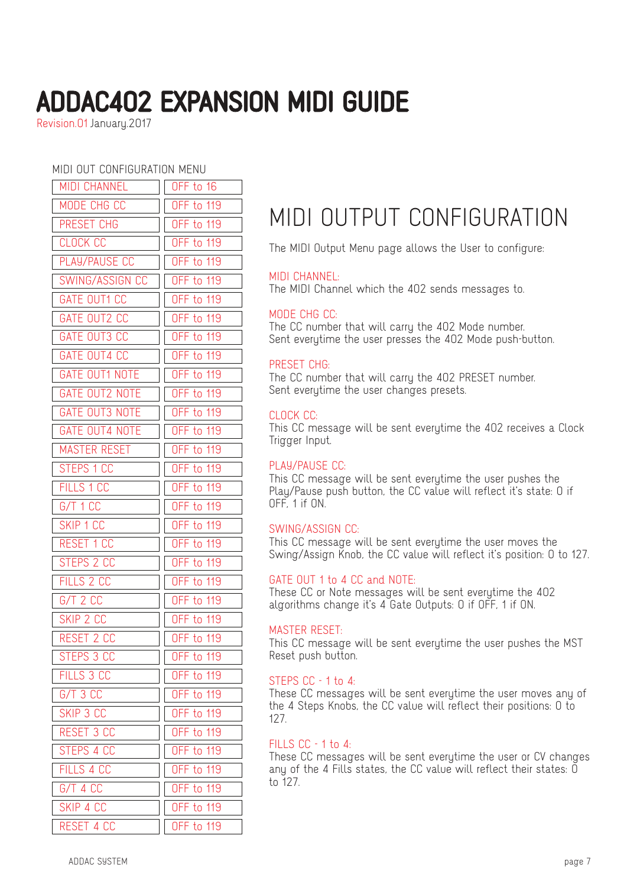Revision.01 January.2017

MIDI OUT CONFIGURATION MENU

| MIDI CHANNEL          | OFF to 16         |
|-----------------------|-------------------|
| MODE CHG CC           | <b>OFF to 119</b> |
| PRESET CHG            | <b>OFF to 119</b> |
| <b>CLOCK CC</b>       | <b>OFF to 119</b> |
| PLAY/PAUSE CC         | <b>OFF to 119</b> |
| SWING/ASSIGN CC       | <b>OFF to 119</b> |
| GATE OUT1 CC          | <b>OFF to 119</b> |
| GATE OUT2 CC          | <b>OFF to 119</b> |
| <b>GATE OUT3 CC</b>   | <b>OFF to 119</b> |
| <b>GATE OUT4 CC</b>   | <b>OFF to 119</b> |
| <b>GATE OUT1 NOTE</b> | <b>OFF to 119</b> |
| <b>GATE OUT2 NOTE</b> | <b>OFF to 119</b> |
| <b>GATE OUT3 NOTE</b> | <b>OFF to 119</b> |
| <b>GATE OUT4 NOTE</b> | <b>OFF to 119</b> |
| <b>MASTER RESET</b>   | <b>OFF to 119</b> |
| STEPS 1 CC            | <b>OFF to 119</b> |
| <b>FILLS 1 CC</b>     | <b>OFF to 119</b> |
| G/T 1 CC              | <b>OFF to 119</b> |
| SKIP 1 CC             | <b>OFF to 119</b> |
| <b>RESET 1 CC</b>     | <b>OFF to 119</b> |
| STEPS 2 CC            | <b>OFF to 119</b> |
| FILLS 2 CC            | <b>OFF to 119</b> |
| $G/T$ 2 $CC$          | <b>OFF to 119</b> |
| SKIP 2 CC             | <b>OFF to 119</b> |
| RESET 2 CC            | <b>OFF to 119</b> |
| STEPS 3 CC            | OFF to 119        |
| FILLS 3 CC            | <b>OFF to 119</b> |
| $G/T$ 3 $CC$          | <b>OFF to 119</b> |
| SKIP 3 CC             | <b>OFF to 119</b> |
| RESET 3 CC            | <b>OFF to 119</b> |
| STEPS 4 CC            | <b>OFF to 119</b> |
| FILLS 4 CC            | <b>OFF to 119</b> |
| G/T 4 CC              | <b>OFF to 119</b> |
| SKIP 4 CC             | <b>OFF to 119</b> |
| RESET 4 CC            | <b>OFF to 119</b> |

### MIDI OUTPUT CONFIGURATION

The MIDI Output Menu page allows the User to configure:

#### MIDI CHANNEL:

The MIDI Channel which the 402 sends messages to.

#### MODE CHG CC:

The CC number that will carry the 402 Mode number. Sent everytime the user presses the 402 Mode push-button.

#### PRESET CHG:

The CC number that will carry the 402 PRESET number. Sent everytime the user changes presets.

#### CLOCK CC:

This CC message will be sent everytime the 402 receives a Clock Trigger Input.

#### PLAY/PAUSE CC:

This CC message will be sent everytime the user pushes the Play/Pause push button, the CC value will reflect it's state: 0 if OFF, 1 if ON.

#### SWING/ASSIGN CC:

This CC message will be sent everytime the user moves the Swing/Assign Knob, the CC value will reflect it's position: 0 to 127.

#### GATE OUT 1 to 4 CC and NOTE:

These CC or Note messages will be sent everytime the 402 algorithms change it's 4 Gate Outputs: 0 if OFF, 1 if ON.

#### MASTER RESET:

This CC message will be sent everytime the user pushes the MST Reset push button.

#### STEPS CC - 1 to 4:

These CC messages will be sent everytime the user moves any of the 4 Steps Knobs, the CC value will reflect their positions: 0 to 127.

#### FILLS CC - 1 to 4:

These CC messages will be sent everytime the user or CV changes any of the 4 Fills states, the CC value will reflect their states:  $\overline{0}$ to 127.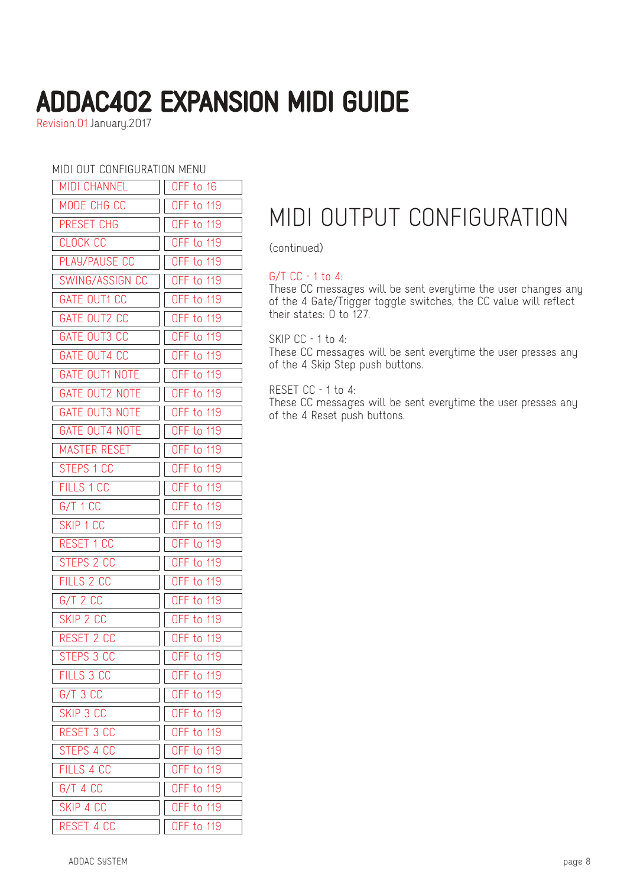Revision.01 January.2017

MIDI OUT CONFIGURATION MENU

| MIDI CHANNEL          | OFF to 16         |
|-----------------------|-------------------|
| MODE CHG CC           | <b>OFF to 119</b> |
| PRESET CHG            | <b>OFF to 119</b> |
| <b>CLOCK CC</b>       | <b>OFF to 119</b> |
| PLAY/PAUSE CC         | <b>OFF to 119</b> |
| SWING/ASSIGN CC       | <b>OFF to 119</b> |
| GATE OUT1 CC          | <b>OFF to 119</b> |
| GATE OUT2 CC          | OFF to 119        |
| GATE OUT3 CC          | <b>OFF to 119</b> |
| GATE OUT4 CC          | <b>OFF to 119</b> |
| GATE OUT1 NOTE        | <b>OFF to 119</b> |
| GATE OUT2 NOTE        | <b>OFF to 119</b> |
| <b>GATE OUT3 NOTE</b> | <b>OFF to 119</b> |
| <b>GATE OUT4 NOTE</b> | <b>OFF to 119</b> |
| MASTER RESET          | <b>OFF to 119</b> |
| STEPS 1 CC            | OFF to 119        |
| FILLS 1 CC            | <b>OFF to 119</b> |
| G/T 1 CC              | <b>OFF to 119</b> |
| SKIP 1 CC             | <b>OFF to 119</b> |
| RESET 1 CC            | <b>OFF to 119</b> |
| STEPS 2 CC            | <b>OFF to 119</b> |
| FILLS 2 CC            | <b>OFF to 119</b> |
| $G/T$ 2 $CC$          | <b>OFF to 119</b> |
| SKIP 2 CC             | <b>OFF to 119</b> |
| RESET 2 CC            | <b>OFF to 119</b> |
| STEPS 3 CC            | <b>OFF to 119</b> |
| FILLS 3 CC            | <b>OFF to 119</b> |
| G/T 3 CC              | <b>OFF to 119</b> |
| SKIP 3 CC             | <b>OFF to 119</b> |
| RESET 3 CC            | <b>OFF to 119</b> |
| STEPS 4 CC            | <b>OFF to 119</b> |
| FILLS 4 CC            | <b>OFF to 119</b> |
| G/T 4 CC              | <b>OFF to 119</b> |
| SKIP 4 CC             | <b>OFF to 119</b> |
| RESET 4 CC            | <b>OFF to 119</b> |

## MIDI OUTPUT CONFIGURATION

(continued)

#### G/T CC - 1 to 4:

These CC messages will be sent everytime the user changes any of the 4 Gate/Trigger toggle switches, the CC value will reflect their states: 0 to 127.

SKIP CC - 1 to 4:

These CC messages will be sent everytime the user presses any of the 4 Skip Step push buttons.

RESET CC - 1 to 4:

These CC messages will be sent everytime the user presses any of the 4 Reset push buttons.